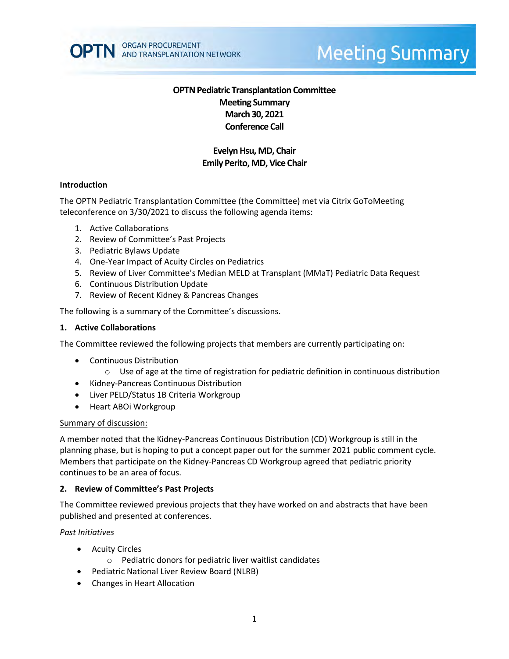

# **Meeting Summary**

# **OPTN Pediatric Transplantation Committee Meeting Summary March 30, 2021 Conference Call**

# **Evelyn Hsu, MD, Chair Emily Perito, MD, Vice Chair**

### **Introduction**

The OPTN Pediatric Transplantation Committee (the Committee) met via Citrix GoToMeeting teleconference on 3/30/2021 to discuss the following agenda items:

- 1. Active Collaborations
- 2. Review of Committee's Past Projects
- 3. Pediatric Bylaws Update
- 4. One-Year Impact of Acuity Circles on Pediatrics
- 5. Review of Liver Committee's Median MELD at Transplant (MMaT) Pediatric Data Request
- 6. Continuous Distribution Update
- 7. Review of Recent Kidney & Pancreas Changes

The following is a summary of the Committee's discussions.

#### **1. Active Collaborations**

The Committee reviewed the following projects that members are currently participating on:

- Continuous Distribution
	- $\circ$  Use of age at the time of registration for pediatric definition in continuous distribution
- Kidney-Pancreas Continuous Distribution
- Liver PELD/Status 1B Criteria Workgroup
- Heart ABOi Workgroup

#### Summary of discussion:

A member noted that the Kidney-Pancreas Continuous Distribution (CD) Workgroup is still in the planning phase, but is hoping to put a concept paper out for the summer 2021 public comment cycle. Members that participate on the Kidney-Pancreas CD Workgroup agreed that pediatric priority continues to be an area of focus.

#### **2. Review of Committee's Past Projects**

The Committee reviewed previous projects that they have worked on and abstracts that have been published and presented at conferences.

#### *Past Initiatives*

- Acuity Circles
	- o Pediatric donors for pediatric liver waitlist candidates
- Pediatric National Liver Review Board (NLRB)
- Changes in Heart Allocation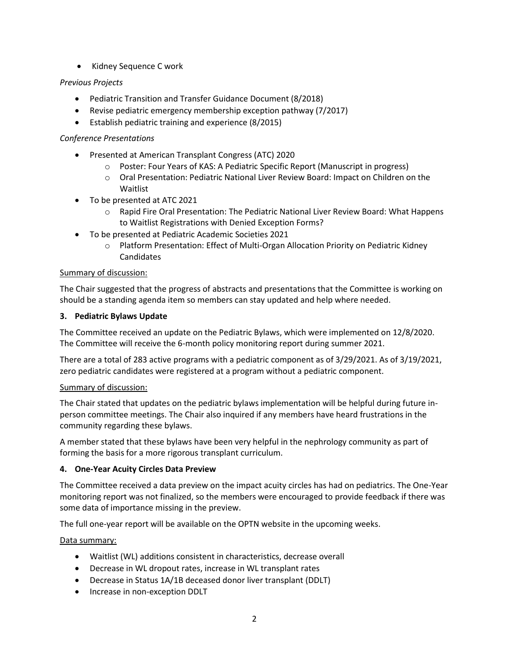• Kidney Sequence C work

# *Previous Projects*

- Pediatric Transition and Transfer Guidance Document (8/2018)
- Revise pediatric emergency membership exception pathway (7/2017)
- Establish pediatric training and experience (8/2015)

## *Conference Presentations*

- Presented at American Transplant Congress (ATC) 2020
	- o Poster: Four Years of KAS: A Pediatric Specific Report (Manuscript in progress)
	- o Oral Presentation: Pediatric National Liver Review Board: Impact on Children on the Waitlist
- To be presented at ATC 2021
	- o Rapid Fire Oral Presentation: The Pediatric National Liver Review Board: What Happens to Waitlist Registrations with Denied Exception Forms?
- To be presented at Pediatric Academic Societies 2021
	- o Platform Presentation: Effect of Multi-Organ Allocation Priority on Pediatric Kidney Candidates

## Summary of discussion:

The Chair suggested that the progress of abstracts and presentations that the Committee is working on should be a standing agenda item so members can stay updated and help where needed.

### **3. Pediatric Bylaws Update**

The Committee received an update on the Pediatric Bylaws, which were implemented on 12/8/2020. The Committee will receive the 6-month policy monitoring report during summer 2021.

There are a total of 283 active programs with a pediatric component as of 3/29/2021. As of 3/19/2021, zero pediatric candidates were registered at a program without a pediatric component.

## Summary of discussion:

The Chair stated that updates on the pediatric bylaws implementation will be helpful during future inperson committee meetings. The Chair also inquired if any members have heard frustrations in the community regarding these bylaws.

A member stated that these bylaws have been very helpful in the nephrology community as part of forming the basis for a more rigorous transplant curriculum.

## **4. One-Year Acuity Circles Data Preview**

The Committee received a data preview on the impact acuity circles has had on pediatrics. The One-Year monitoring report was not finalized, so the members were encouraged to provide feedback if there was some data of importance missing in the preview.

The full one-year report will be available on the OPTN website in the upcoming weeks.

## Data summary:

- Waitlist (WL) additions consistent in characteristics, decrease overall
- Decrease in WL dropout rates, increase in WL transplant rates
- Decrease in Status 1A/1B deceased donor liver transplant (DDLT)
- Increase in non-exception DDLT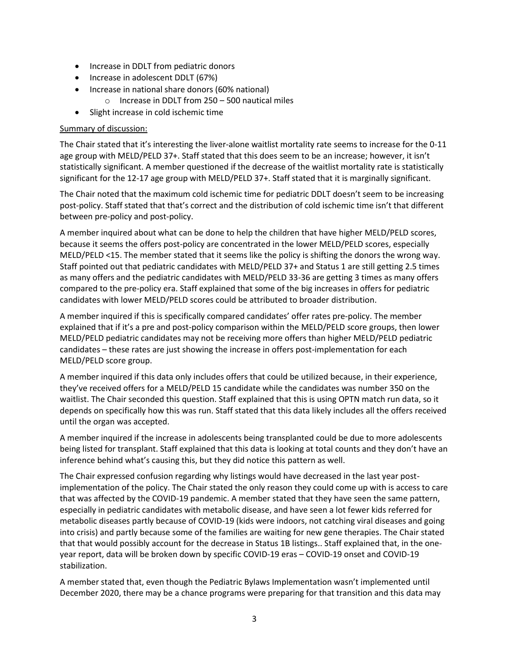- Increase in DDLT from pediatric donors
- Increase in adolescent DDLT (67%)
- Increase in national share donors (60% national)
	- o Increase in DDLT from 250 500 nautical miles
- Slight increase in cold ischemic time

## Summary of discussion:

The Chair stated that it's interesting the liver-alone waitlist mortality rate seems to increase for the 0-11 age group with MELD/PELD 37+. Staff stated that this does seem to be an increase; however, it isn't statistically significant. A member questioned if the decrease of the waitlist mortality rate is statistically significant for the 12-17 age group with MELD/PELD 37+. Staff stated that it is marginally significant.

The Chair noted that the maximum cold ischemic time for pediatric DDLT doesn't seem to be increasing post-policy. Staff stated that that's correct and the distribution of cold ischemic time isn't that different between pre-policy and post-policy.

A member inquired about what can be done to help the children that have higher MELD/PELD scores, because it seems the offers post-policy are concentrated in the lower MELD/PELD scores, especially MELD/PELD <15. The member stated that it seems like the policy is shifting the donors the wrong way. Staff pointed out that pediatric candidates with MELD/PELD 37+ and Status 1 are still getting 2.5 times as many offers and the pediatric candidates with MELD/PELD 33-36 are getting 3 times as many offers compared to the pre-policy era. Staff explained that some of the big increases in offers for pediatric candidates with lower MELD/PELD scores could be attributed to broader distribution.

A member inquired if this is specifically compared candidates' offer rates pre-policy. The member explained that if it's a pre and post-policy comparison within the MELD/PELD score groups, then lower MELD/PELD pediatric candidates may not be receiving more offers than higher MELD/PELD pediatric candidates – these rates are just showing the increase in offers post-implementation for each MELD/PELD score group.

A member inquired if this data only includes offers that could be utilized because, in their experience, they've received offers for a MELD/PELD 15 candidate while the candidates was number 350 on the waitlist. The Chair seconded this question. Staff explained that this is using OPTN match run data, so it depends on specifically how this was run. Staff stated that this data likely includes all the offers received until the organ was accepted.

A member inquired if the increase in adolescents being transplanted could be due to more adolescents being listed for transplant. Staff explained that this data is looking at total counts and they don't have an inference behind what's causing this, but they did notice this pattern as well.

The Chair expressed confusion regarding why listings would have decreased in the last year postimplementation of the policy. The Chair stated the only reason they could come up with is access to care that was affected by the COVID-19 pandemic. A member stated that they have seen the same pattern, especially in pediatric candidates with metabolic disease, and have seen a lot fewer kids referred for metabolic diseases partly because of COVID-19 (kids were indoors, not catching viral diseases and going into crisis) and partly because some of the families are waiting for new gene therapies. The Chair stated that that would possibly account for the decrease in Status 1B listings.. Staff explained that, in the oneyear report, data will be broken down by specific COVID-19 eras – COVID-19 onset and COVID-19 stabilization.

A member stated that, even though the Pediatric Bylaws Implementation wasn't implemented until December 2020, there may be a chance programs were preparing for that transition and this data may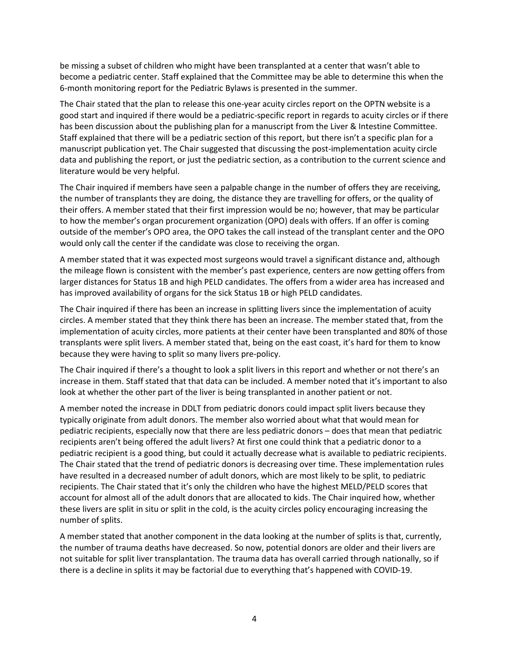be missing a subset of children who might have been transplanted at a center that wasn't able to become a pediatric center. Staff explained that the Committee may be able to determine this when the 6-month monitoring report for the Pediatric Bylaws is presented in the summer.

The Chair stated that the plan to release this one-year acuity circles report on the OPTN website is a good start and inquired if there would be a pediatric-specific report in regards to acuity circles or if there has been discussion about the publishing plan for a manuscript from the Liver & Intestine Committee. Staff explained that there will be a pediatric section of this report, but there isn't a specific plan for a manuscript publication yet. The Chair suggested that discussing the post-implementation acuity circle data and publishing the report, or just the pediatric section, as a contribution to the current science and literature would be very helpful.

The Chair inquired if members have seen a palpable change in the number of offers they are receiving, the number of transplants they are doing, the distance they are travelling for offers, or the quality of their offers. A member stated that their first impression would be no; however, that may be particular to how the member's organ procurement organization (OPO) deals with offers. If an offer is coming outside of the member's OPO area, the OPO takes the call instead of the transplant center and the OPO would only call the center if the candidate was close to receiving the organ.

A member stated that it was expected most surgeons would travel a significant distance and, although the mileage flown is consistent with the member's past experience, centers are now getting offers from larger distances for Status 1B and high PELD candidates. The offers from a wider area has increased and has improved availability of organs for the sick Status 1B or high PELD candidates.

The Chair inquired if there has been an increase in splitting livers since the implementation of acuity circles. A member stated that they think there has been an increase. The member stated that, from the implementation of acuity circles, more patients at their center have been transplanted and 80% of those transplants were split livers. A member stated that, being on the east coast, it's hard for them to know because they were having to split so many livers pre-policy.

The Chair inquired if there's a thought to look a split livers in this report and whether or not there's an increase in them. Staff stated that that data can be included. A member noted that it's important to also look at whether the other part of the liver is being transplanted in another patient or not.

A member noted the increase in DDLT from pediatric donors could impact split livers because they typically originate from adult donors. The member also worried about what that would mean for pediatric recipients, especially now that there are less pediatric donors – does that mean that pediatric recipients aren't being offered the adult livers? At first one could think that a pediatric donor to a pediatric recipient is a good thing, but could it actually decrease what is available to pediatric recipients. The Chair stated that the trend of pediatric donors is decreasing over time. These implementation rules have resulted in a decreased number of adult donors, which are most likely to be split, to pediatric recipients. The Chair stated that it's only the children who have the highest MELD/PELD scores that account for almost all of the adult donors that are allocated to kids. The Chair inquired how, whether these livers are split in situ or split in the cold, is the acuity circles policy encouraging increasing the number of splits.

A member stated that another component in the data looking at the number of splits is that, currently, the number of trauma deaths have decreased. So now, potential donors are older and their livers are not suitable for split liver transplantation. The trauma data has overall carried through nationally, so if there is a decline in splits it may be factorial due to everything that's happened with COVID-19.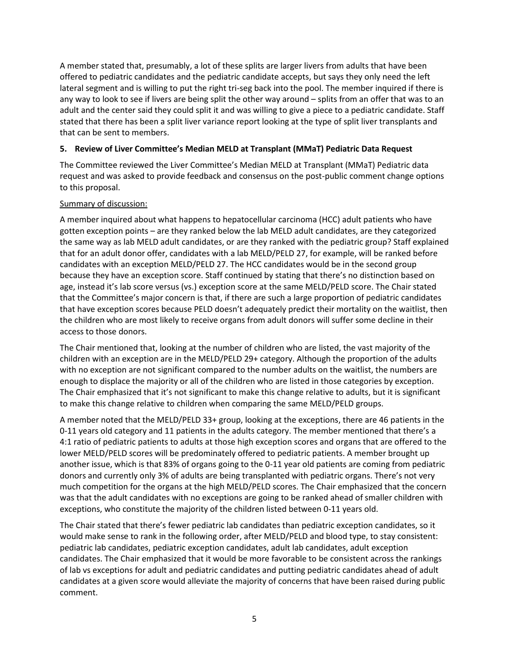A member stated that, presumably, a lot of these splits are larger livers from adults that have been offered to pediatric candidates and the pediatric candidate accepts, but says they only need the left lateral segment and is willing to put the right tri-seg back into the pool. The member inquired if there is any way to look to see if livers are being split the other way around – splits from an offer that was to an adult and the center said they could split it and was willing to give a piece to a pediatric candidate. Staff stated that there has been a split liver variance report looking at the type of split liver transplants and that can be sent to members.

# **5. Review of Liver Committee's Median MELD at Transplant (MMaT) Pediatric Data Request**

The Committee reviewed the Liver Committee's Median MELD at Transplant (MMaT) Pediatric data request and was asked to provide feedback and consensus on the post-public comment change options to this proposal.

# Summary of discussion:

A member inquired about what happens to hepatocellular carcinoma (HCC) adult patients who have gotten exception points – are they ranked below the lab MELD adult candidates, are they categorized the same way as lab MELD adult candidates, or are they ranked with the pediatric group? Staff explained that for an adult donor offer, candidates with a lab MELD/PELD 27, for example, will be ranked before candidates with an exception MELD/PELD 27. The HCC candidates would be in the second group because they have an exception score. Staff continued by stating that there's no distinction based on age, instead it's lab score versus (vs.) exception score at the same MELD/PELD score. The Chair stated that the Committee's major concern is that, if there are such a large proportion of pediatric candidates that have exception scores because PELD doesn't adequately predict their mortality on the waitlist, then the children who are most likely to receive organs from adult donors will suffer some decline in their access to those donors.

The Chair mentioned that, looking at the number of children who are listed, the vast majority of the children with an exception are in the MELD/PELD 29+ category. Although the proportion of the adults with no exception are not significant compared to the number adults on the waitlist, the numbers are enough to displace the majority or all of the children who are listed in those categories by exception. The Chair emphasized that it's not significant to make this change relative to adults, but it is significant to make this change relative to children when comparing the same MELD/PELD groups.

A member noted that the MELD/PELD 33+ group, looking at the exceptions, there are 46 patients in the 0-11 years old category and 11 patients in the adults category. The member mentioned that there's a 4:1 ratio of pediatric patients to adults at those high exception scores and organs that are offered to the lower MELD/PELD scores will be predominately offered to pediatric patients. A member brought up another issue, which is that 83% of organs going to the 0-11 year old patients are coming from pediatric donors and currently only 3% of adults are being transplanted with pediatric organs. There's not very much competition for the organs at the high MELD/PELD scores. The Chair emphasized that the concern was that the adult candidates with no exceptions are going to be ranked ahead of smaller children with exceptions, who constitute the majority of the children listed between 0-11 years old.

The Chair stated that there's fewer pediatric lab candidates than pediatric exception candidates, so it would make sense to rank in the following order, after MELD/PELD and blood type, to stay consistent: pediatric lab candidates, pediatric exception candidates, adult lab candidates, adult exception candidates. The Chair emphasized that it would be more favorable to be consistent across the rankings of lab vs exceptions for adult and pediatric candidates and putting pediatric candidates ahead of adult candidates at a given score would alleviate the majority of concerns that have been raised during public comment.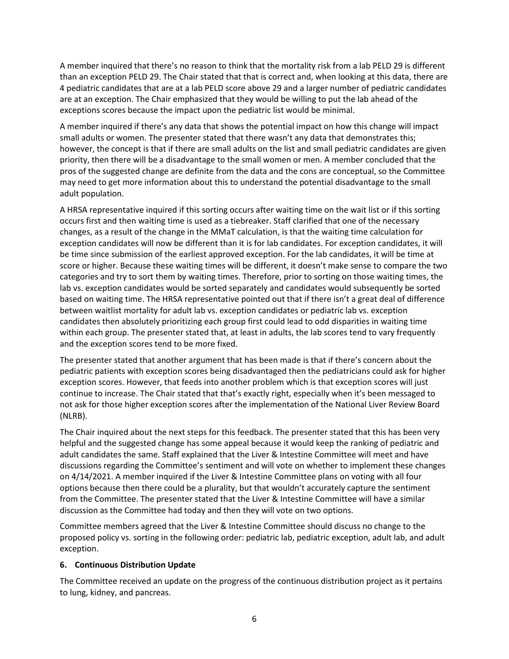A member inquired that there's no reason to think that the mortality risk from a lab PELD 29 is different than an exception PELD 29. The Chair stated that that is correct and, when looking at this data, there are 4 pediatric candidates that are at a lab PELD score above 29 and a larger number of pediatric candidates are at an exception. The Chair emphasized that they would be willing to put the lab ahead of the exceptions scores because the impact upon the pediatric list would be minimal.

A member inquired if there's any data that shows the potential impact on how this change will impact small adults or women. The presenter stated that there wasn't any data that demonstrates this; however, the concept is that if there are small adults on the list and small pediatric candidates are given priority, then there will be a disadvantage to the small women or men. A member concluded that the pros of the suggested change are definite from the data and the cons are conceptual, so the Committee may need to get more information about this to understand the potential disadvantage to the small adult population.

A HRSA representative inquired if this sorting occurs after waiting time on the wait list or if this sorting occurs first and then waiting time is used as a tiebreaker. Staff clarified that one of the necessary changes, as a result of the change in the MMaT calculation, is that the waiting time calculation for exception candidates will now be different than it is for lab candidates. For exception candidates, it will be time since submission of the earliest approved exception. For the lab candidates, it will be time at score or higher. Because these waiting times will be different, it doesn't make sense to compare the two categories and try to sort them by waiting times. Therefore, prior to sorting on those waiting times, the lab vs. exception candidates would be sorted separately and candidates would subsequently be sorted based on waiting time. The HRSA representative pointed out that if there isn't a great deal of difference between waitlist mortality for adult lab vs. exception candidates or pediatric lab vs. exception candidates then absolutely prioritizing each group first could lead to odd disparities in waiting time within each group. The presenter stated that, at least in adults, the lab scores tend to vary frequently and the exception scores tend to be more fixed.

The presenter stated that another argument that has been made is that if there's concern about the pediatric patients with exception scores being disadvantaged then the pediatricians could ask for higher exception scores. However, that feeds into another problem which is that exception scores will just continue to increase. The Chair stated that that's exactly right, especially when it's been messaged to not ask for those higher exception scores after the implementation of the National Liver Review Board (NLRB).

The Chair inquired about the next steps for this feedback. The presenter stated that this has been very helpful and the suggested change has some appeal because it would keep the ranking of pediatric and adult candidates the same. Staff explained that the Liver & Intestine Committee will meet and have discussions regarding the Committee's sentiment and will vote on whether to implement these changes on 4/14/2021. A member inquired if the Liver & Intestine Committee plans on voting with all four options because then there could be a plurality, but that wouldn't accurately capture the sentiment from the Committee. The presenter stated that the Liver & Intestine Committee will have a similar discussion as the Committee had today and then they will vote on two options.

Committee members agreed that the Liver & Intestine Committee should discuss no change to the proposed policy vs. sorting in the following order: pediatric lab, pediatric exception, adult lab, and adult exception.

## **6. Continuous Distribution Update**

The Committee received an update on the progress of the continuous distribution project as it pertains to lung, kidney, and pancreas.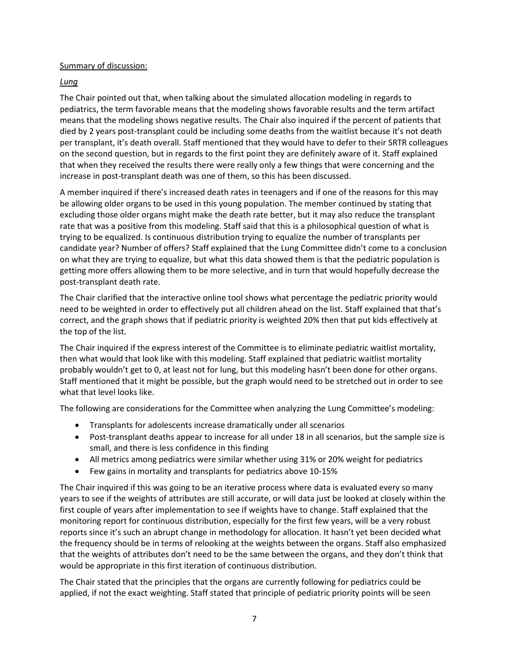Summary of discussion:

# *Lung*

The Chair pointed out that, when talking about the simulated allocation modeling in regards to pediatrics, the term favorable means that the modeling shows favorable results and the term artifact means that the modeling shows negative results. The Chair also inquired if the percent of patients that died by 2 years post-transplant could be including some deaths from the waitlist because it's not death per transplant, it's death overall. Staff mentioned that they would have to defer to their SRTR colleagues on the second question, but in regards to the first point they are definitely aware of it. Staff explained that when they received the results there were really only a few things that were concerning and the increase in post-transplant death was one of them, so this has been discussed.

A member inquired if there's increased death rates in teenagers and if one of the reasons for this may be allowing older organs to be used in this young population. The member continued by stating that excluding those older organs might make the death rate better, but it may also reduce the transplant rate that was a positive from this modeling. Staff said that this is a philosophical question of what is trying to be equalized. Is continuous distribution trying to equalize the number of transplants per candidate year? Number of offers? Staff explained that the Lung Committee didn't come to a conclusion on what they are trying to equalize, but what this data showed them is that the pediatric population is getting more offers allowing them to be more selective, and in turn that would hopefully decrease the post-transplant death rate.

The Chair clarified that the interactive online tool shows what percentage the pediatric priority would need to be weighted in order to effectively put all children ahead on the list. Staff explained that that's correct, and the graph shows that if pediatric priority is weighted 20% then that put kids effectively at the top of the list.

The Chair inquired if the express interest of the Committee is to eliminate pediatric waitlist mortality, then what would that look like with this modeling. Staff explained that pediatric waitlist mortality probably wouldn't get to 0, at least not for lung, but this modeling hasn't been done for other organs. Staff mentioned that it might be possible, but the graph would need to be stretched out in order to see what that level looks like.

The following are considerations for the Committee when analyzing the Lung Committee's modeling:

- Transplants for adolescents increase dramatically under all scenarios
- Post-transplant deaths appear to increase for all under 18 in all scenarios, but the sample size is small, and there is less confidence in this finding
- All metrics among pediatrics were similar whether using 31% or 20% weight for pediatrics
- Few gains in mortality and transplants for pediatrics above 10-15%

The Chair inquired if this was going to be an iterative process where data is evaluated every so many years to see if the weights of attributes are still accurate, or will data just be looked at closely within the first couple of years after implementation to see if weights have to change. Staff explained that the monitoring report for continuous distribution, especially for the first few years, will be a very robust reports since it's such an abrupt change in methodology for allocation. It hasn't yet been decided what the frequency should be in terms of relooking at the weights between the organs. Staff also emphasized that the weights of attributes don't need to be the same between the organs, and they don't think that would be appropriate in this first iteration of continuous distribution.

The Chair stated that the principles that the organs are currently following for pediatrics could be applied, if not the exact weighting. Staff stated that principle of pediatric priority points will be seen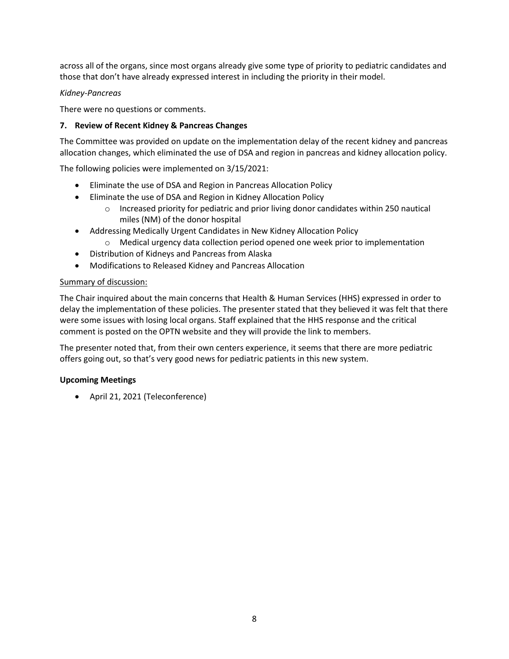across all of the organs, since most organs already give some type of priority to pediatric candidates and those that don't have already expressed interest in including the priority in their model.

# *Kidney-Pancreas*

There were no questions or comments.

# **7. Review of Recent Kidney & Pancreas Changes**

The Committee was provided on update on the implementation delay of the recent kidney and pancreas allocation changes, which eliminated the use of DSA and region in pancreas and kidney allocation policy.

The following policies were implemented on 3/15/2021:

- Eliminate the use of DSA and Region in Pancreas Allocation Policy
- Eliminate the use of DSA and Region in Kidney Allocation Policy
	- $\circ$  Increased priority for pediatric and prior living donor candidates within 250 nautical miles (NM) of the donor hospital
- Addressing Medically Urgent Candidates in New Kidney Allocation Policy
	- o Medical urgency data collection period opened one week prior to implementation
- Distribution of Kidneys and Pancreas from Alaska
- Modifications to Released Kidney and Pancreas Allocation

## Summary of discussion:

The Chair inquired about the main concerns that Health & Human Services (HHS) expressed in order to delay the implementation of these policies. The presenter stated that they believed it was felt that there were some issues with losing local organs. Staff explained that the HHS response and the critical comment is posted on the OPTN website and they will provide the link to members.

The presenter noted that, from their own centers experience, it seems that there are more pediatric offers going out, so that's very good news for pediatric patients in this new system.

## **Upcoming Meetings**

April 21, 2021 (Teleconference)